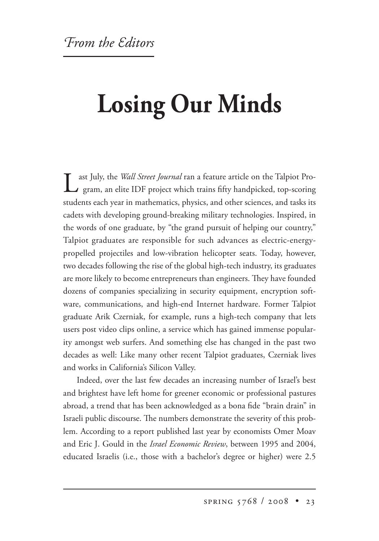## **Losing Our Minds**

Last July, the *Wall Street Journal* ran a feature article on the Talpiot Program, an elite IDF project which trains fifty handpicked, top-scoring students each year in mathematics, physics, and other sciences, and tasks its cadets with developing ground-breaking military technologies. Inspired, in the words of one graduate, by "the grand pursuit of helping our country," Talpiot graduates are responsible for such advances as electric-energypropelled projectiles and low-vibration helicopter seats. Today, however, two decades following the rise of the global high-tech industry, its graduates are more likely to become entrepreneurs than engineers. They have founded dozens of companies specializing in security equipment, encryption software, communications, and high-end Internet hardware. Former Talpiot graduate Arik Czerniak, for example, runs a high-tech company that lets users post video clips online, a service which has gained immense popularity amongst web surfers. And something else has changed in the past two decades as well: Like many other recent Talpiot graduates, Czerniak lives and works in California's Silicon Valley.

Indeed, over the last few decades an increasing number of Israel's best and brightest have left home for greener economic or professional pastures abroad, a trend that has been acknowledged as a bona fide "brain drain" in Israeli public discourse. The numbers demonstrate the severity of this problem. According to a report published last year by economists Omer Moav and Eric J. Gould in the *Israel Economic Review*, between 1995 and 2004, educated Israelis (i.e., those with a bachelor's degree or higher) were 2.5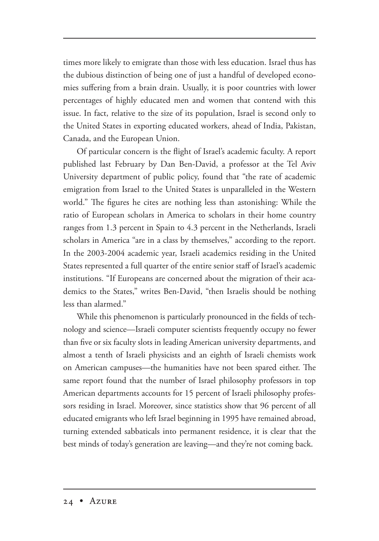times more likely to emigrate than those with less education. Israel thus has the dubious distinction of being one of just a handful of developed economies suffering from a brain drain. Usually, it is poor countries with lower percentages of highly educated men and women that contend with this issue. In fact, relative to the size of its population, Israel is second only to the United States in exporting educated workers, ahead of India, Pakistan, Canada, and the European Union.

Of particular concern is the flight of Israel's academic faculty. A report published last February by Dan Ben-David, a professor at the Tel Aviv University department of public policy, found that "the rate of academic emigration from Israel to the United States is unparalleled in the Western world." The figures he cites are nothing less than astonishing: While the ratio of European scholars in America to scholars in their home country ranges from 1.3 percent in Spain to 4.3 percent in the Netherlands, Israeli scholars in America "are in a class by themselves," according to the report. In the 2003-2004 academic year, Israeli academics residing in the United States represented a full quarter of the entire senior staff of Israel's academic institutions. "If Europeans are concerned about the migration of their academics to the States," writes Ben-David, "then Israelis should be nothing less than alarmed."

While this phenomenon is particularly pronounced in the fields of technology and science—Israeli computer scientists frequently occupy no fewer than five or six faculty slots in leading American university departments, and almost a tenth of Israeli physicists and an eighth of Israeli chemists work on American campuses—the humanities have not been spared either. The same report found that the number of Israel philosophy professors in top American departments accounts for 15 percent of Israeli philosophy professors residing in Israel. Moreover, since statistics show that 96 percent of all educated emigrants who left Israel beginning in 1995 have remained abroad, turning extended sabbaticals into permanent residence, it is clear that the best minds of today's generation are leaving—and they're not coming back.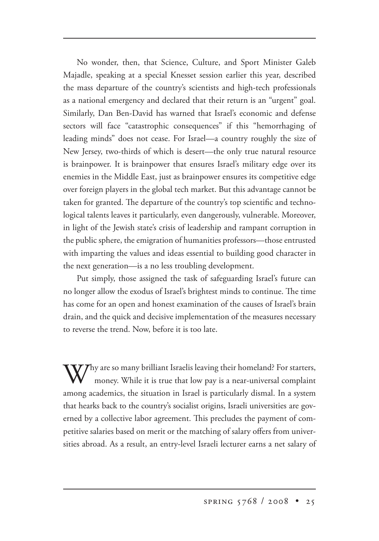No wonder, then, that Science, Culture, and Sport Minister Galeb Majadle, speaking at a special Knesset session earlier this year, described the mass departure of the country's scientists and high-tech professionals as a national emergency and declared that their return is an "urgent" goal. Similarly, Dan Ben-David has warned that Israel's economic and defense sectors will face "catastrophic consequences" if this "hemorrhaging of leading minds" does not cease. For Israel—a country roughly the size of New Jersey, two-thirds of which is desert—the only true natural resource is brainpower. It is brainpower that ensures Israel's military edge over its enemies in the Middle East, just as brainpower ensures its competitive edge over foreign players in the global tech market. But this advantage cannot be taken for granted. The departure of the country's top scientific and technological talents leaves it particularly, even dangerously, vulnerable. Moreover, in light of the Jewish state's crisis of leadership and rampant corruption in the public sphere, the emigration of humanities professors—those entrusted with imparting the values and ideas essential to building good character in the next generation—is a no less troubling development.

Put simply, those assigned the task of safeguarding Israel's future can no longer allow the exodus of Israel's brightest minds to continue. The time has come for an open and honest examination of the causes of Israel's brain drain, and the quick and decisive implementation of the measures necessary to reverse the trend. Now, before it is too late.

 $\bf Y$ hy are so many brilliant Israelis leaving their homeland? For starters, money. While it is true that low pay is a near-universal complaint among academics, the situation in Israel is particularly dismal. In a system that hearks back to the country's socialist origins, Israeli universities are governed by a collective labor agreement. This precludes the payment of competitive salaries based on merit or the matching of salary offers from universities abroad. As a result, an entry-level Israeli lecturer earns a net salary of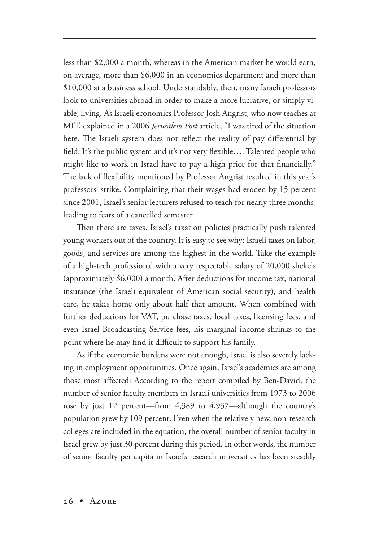less than \$2,000 a month, whereas in the American market he would earn, on average, more than \$6,000 in an economics department and more than \$10,000 at a business school. Understandably, then, many Israeli professors look to universities abroad in order to make a more lucrative, or simply viable, living. As Israeli economics Professor Josh Angrist, who now teaches at MIT, explained in a 2006 *Jerusalem Post* article, "I was tired of the situation here. The Israeli system does not reflect the reality of pay differential by field. It's the public system and it's not very flexible…. Talented people who might like to work in Israel have to pay a high price for that financially." The lack of flexibility mentioned by Professor Angrist resulted in this year's professors' strike. Complaining that their wages had eroded by 15 percent since 2001, Israel's senior lecturers refused to teach for nearly three months, leading to fears of a cancelled semester.

Then there are taxes. Israel's taxation policies practically push talented young workers out of the country. It is easy to see why: Israeli taxes on labor, goods, and services are among the highest in the world. Take the example of a high-tech professional with a very respectable salary of 20,000 shekels (approximately \$6,000) a month. After deductions for income tax, national insurance (the Israeli equivalent of American social security), and health care, he takes home only about half that amount. When combined with further deductions for VAT, purchase taxes, local taxes, licensing fees, and even Israel Broadcasting Service fees, his marginal income shrinks to the point where he may find it difficult to support his family.

As if the economic burdens were not enough, Israel is also severely lacking in employment opportunities. Once again, Israel's academics are among those most affected: According to the report compiled by Ben-David, the number of senior faculty members in Israeli universities from 1973 to 2006 rose by just 12 percent—from 4,389 to 4,937—although the country's population grew by 109 percent. Even when the relatively new, non-research colleges are included in the equation, the overall number of senior faculty in Israel grew by just 30 percent during this period. In other words, the number of senior faculty per capita in Israel's research universities has been steadily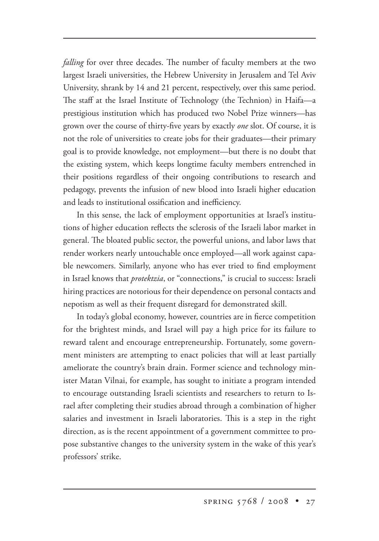*falling* for over three decades. The number of faculty members at the two largest Israeli universities, the Hebrew University in Jerusalem and Tel Aviv University, shrank by 14 and 21 percent, respectively, over this same period. The staff at the Israel Institute of Technology (the Technion) in Haifa—a prestigious institution which has produced two Nobel Prize winners—has grown over the course of thirty-five years by exactly *one* slot. Of course, it is not the role of universities to create jobs for their graduates—their primary goal is to provide knowledge, not employment—but there is no doubt that the existing system, which keeps longtime faculty members entrenched in their positions regardless of their ongoing contributions to research and pedagogy, prevents the infusion of new blood into Israeli higher education and leads to institutional ossification and inefficiency.

In this sense, the lack of employment opportunities at Israel's institutions of higher education reflects the sclerosis of the Israeli labor market in general. The bloated public sector, the powerful unions, and labor laws that render workers nearly untouchable once employed—all work against capable newcomers. Similarly, anyone who has ever tried to find employment in Israel knows that *protektzia*, or "connections," is crucial to success: Israeli hiring practices are notorious for their dependence on personal contacts and nepotism as well as their frequent disregard for demonstrated skill.

In today's global economy, however, countries are in fierce competition for the brightest minds, and Israel will pay a high price for its failure to reward talent and encourage entrepreneurship. Fortunately, some government ministers are attempting to enact policies that will at least partially ameliorate the country's brain drain. Former science and technology minister Matan Vilnai, for example, has sought to initiate a program intended to encourage outstanding Israeli scientists and researchers to return to Israel after completing their studies abroad through a combination of higher salaries and investment in Israeli laboratories. This is a step in the right direction, as is the recent appointment of a government committee to propose substantive changes to the university system in the wake of this year's professors' strike.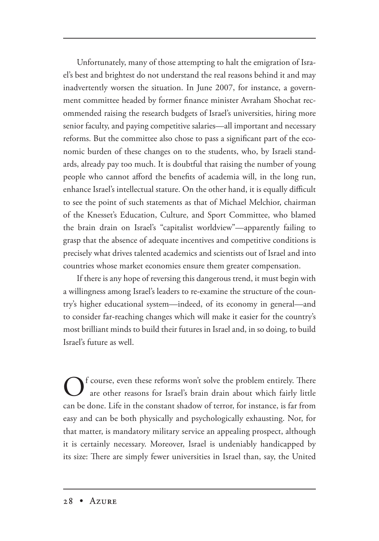Unfortunately, many of those attempting to halt the emigration of Israel's best and brightest do not understand the real reasons behind it and may inadvertently worsen the situation. In June 2007, for instance, a government committee headed by former finance minister Avraham Shochat recommended raising the research budgets of Israel's universities, hiring more senior faculty, and paying competitive salaries—all important and necessary reforms. But the committee also chose to pass a significant part of the economic burden of these changes on to the students, who, by Israeli standards, already pay too much. It is doubtful that raising the number of young people who cannot afford the benefits of academia will, in the long run, enhance Israel's intellectual stature. On the other hand, it is equally difficult to see the point of such statements as that of Michael Melchior, chairman of the Knesset's Education, Culture, and Sport Committee, who blamed the brain drain on Israel's "capitalist worldview"—apparently failing to grasp that the absence of adequate incentives and competitive conditions is precisely what drives talented academics and scientists out of Israel and into countries whose market economies ensure them greater compensation.

If there is any hope of reversing this dangerous trend, it must begin with a willingness among Israel's leaders to re-examine the structure of the country's higher educational system—indeed, of its economy in general—and to consider far-reaching changes which will make it easier for the country's most brilliant minds to build their futures in Israel and, in so doing, to build Israel's future as well.

of course, even these reforms won't solve the problem entirely. There are other reasons for Israel's brain drain about which fairly little can be done. Life in the constant shadow of terror, for instance, is far from easy and can be both physically and psychologically exhausting. Nor, for that matter, is mandatory military service an appealing prospect, although it is certainly necessary. Moreover, Israel is undeniably handicapped by its size: There are simply fewer universities in Israel than, say, the United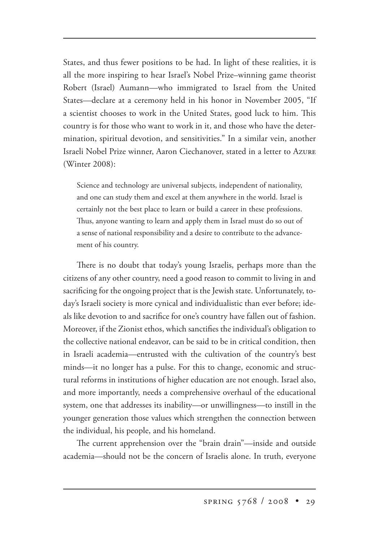States, and thus fewer positions to be had. In light of these realities, it is all the more inspiring to hear Israel's Nobel Prize–winning game theorist Robert (Israel) Aumann—who immigrated to Israel from the United States—declare at a ceremony held in his honor in November 2005, "If a scientist chooses to work in the United States, good luck to him. This country is for those who want to work in it, and those who have the determination, spiritual devotion, and sensitivities." In a similar vein, another Israeli Nobel Prize winner, Aaron Ciechanover, stated in a letter to A (Winter 2008):

Science and technology are universal subjects, independent of nationality, and one can study them and excel at them anywhere in the world. Israel is certainly not the best place to learn or build a career in these professions. Thus, anyone wanting to learn and apply them in Israel must do so out of a sense of national responsibility and a desire to contribute to the advancement of his country.

There is no doubt that today's young Israelis, perhaps more than the citizens of any other country, need a good reason to commit to living in and sacrificing for the ongoing project that is the Jewish state. Unfortunately, today's Israeli society is more cynical and individualistic than ever before; ideals like devotion to and sacrifice for one's country have fallen out of fashion. Moreover, if the Zionist ethos, which sanctifies the individual's obligation to the collective national endeavor, can be said to be in critical condition, then in Israeli academia—entrusted with the cultivation of the country's best minds—it no longer has a pulse. For this to change, economic and structural reforms in institutions of higher education are not enough. Israel also, and more importantly, needs a comprehensive overhaul of the educational system, one that addresses its inability—or unwillingness—to instill in the younger generation those values which strengthen the connection between the individual, his people, and his homeland.

The current apprehension over the "brain drain"—inside and outside academia—should not be the concern of Israelis alone. In truth, everyone